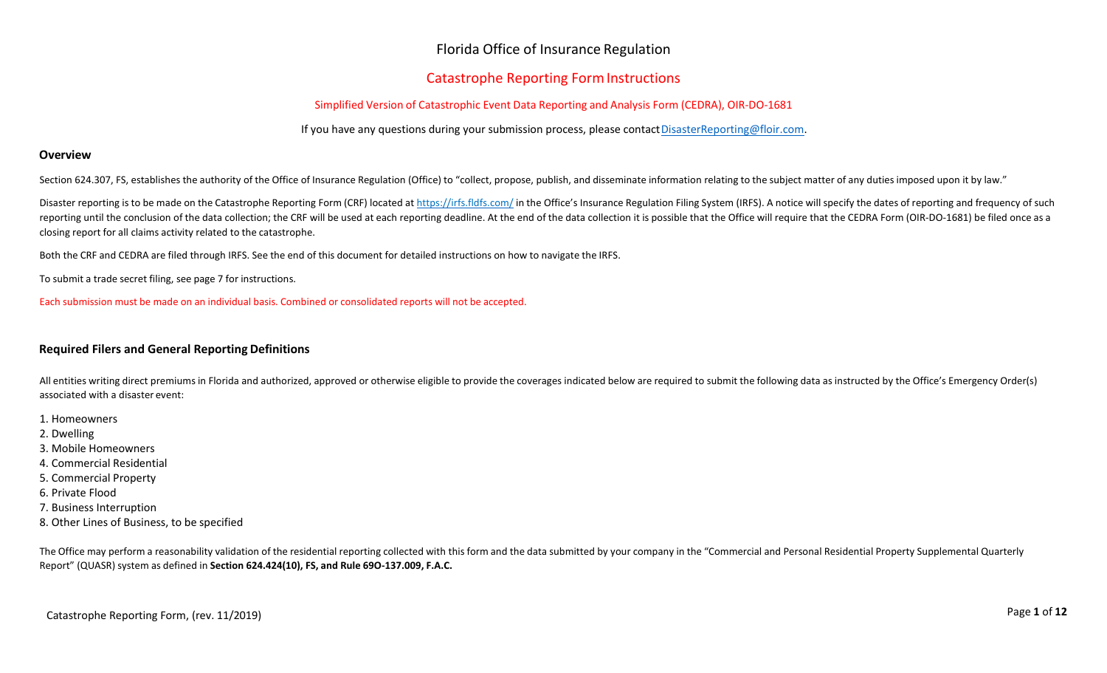## Florida Office of Insurance Regulation

## **Catastrophe Reporting Form Instructions**

### Simplified Version of Catastrophic Event Data Reporting and Analysis Form (CEDRA), OIR-DO-1681

If you have any questions during your submission process, please contac[tDisasterReporting@floir.com.](mailto:DisasterReporting@floir.com)

### **Overview**

Section 624.307, FS, establishes the authority of the Office of Insurance Regulation (Office) to "collect, propose, publish, and disseminate information relating to the subject matter of any duties imposed upon it by law."

Disaster reporting is to be made on the Catastrophe Reporting Form (CRF) located at <https://irfs.fldfs.com/> in the Office's Insurance Regulation Filing System (IRFS). A notice will specify the dates of reporting and freque reporting until the conclusion of the data collection; the CRF will be used at each reporting deadline. At the end of the data collection it is possible that the Office will require that the CEDRA Form (OIR-DO-1681) be fil closing report for all claims activity related to the catastrophe.

Both the CRF and CEDRA are filed through IRFS. See the end of this document for detailed instructions on how to navigate the IRFS.

To submit a trade secret filing, see page 7 for instructions.

Each submission must be made on an individual basis. Combined or consolidated reports will not be accepted.

### **Required Filers and General Reporting Definitions**

All entities writing direct premiums in Florida and authorized, approved or otherwise eligible to provide the coverages indicated below are required to submit the following data as instructed by the Office's Emergency Orde associated with a disaster event:

- 1. Homeowners
- 2. Dwelling
- 3. Mobile Homeowners
- 4. Commercial Residential
- 5. Commercial Property
- 6. Private Flood
- 7. Business Interruption
- 8. Other Lines of Business, to be specified

The Office may perform a reasonability validation of the residential reporting collected with this form and the data submitted by your company in the "Commercial and Personal Residential Property Supplemental Quarterly Report" (QUASR) system as defined in **Section 624.424(10), FS, and Rule 69O-137.009, F.A.C.**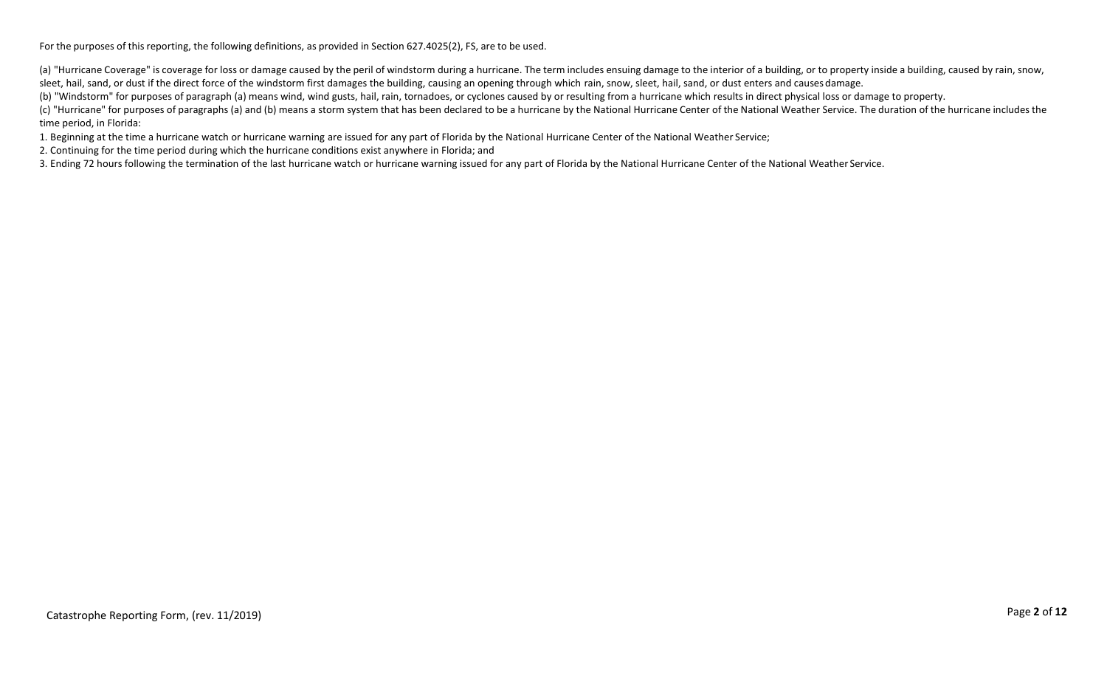For the purposes of this reporting, the following definitions, as provided in Section 627.4025(2), FS, are to be used.

(a) "Hurricane Coverage" is coverage for loss or damage caused by the peril of windstorm during a hurricane. The term includes ensuing damage to the interior of a building, or to property inside a building, caused by rain, sleet, hail, sand, or dust if the direct force of the windstorm first damages the building, causing an opening through which rain, snow, sleet, hail, sand, or dust enters and causes damage.

(b) "Windstorm" for purposes of paragraph (a) means wind, wind gusts, hail, rain, tornadoes, or cyclones caused by or resulting from a hurricane which results in direct physical loss or damage to property.

(c) "Hurricane" for purposes of paragraphs (a) and (b) means a storm system that has been declared to be a hurricane by the National Hurricane Center of the National Weather Service. The duration of the hurricane includes time period, in Florida:

1. Beginning at the time a hurricane watch or hurricane warning are issued for any part of Florida by the National Hurricane Center of the National Weather Service;

2. Continuing for the time period during which the hurricane conditions exist anywhere in Florida; and

3. Ending 72 hours following the termination of the last hurricane watch or hurricane warning issued for any part of Florida by the National Hurricane Center of the National Weather Service.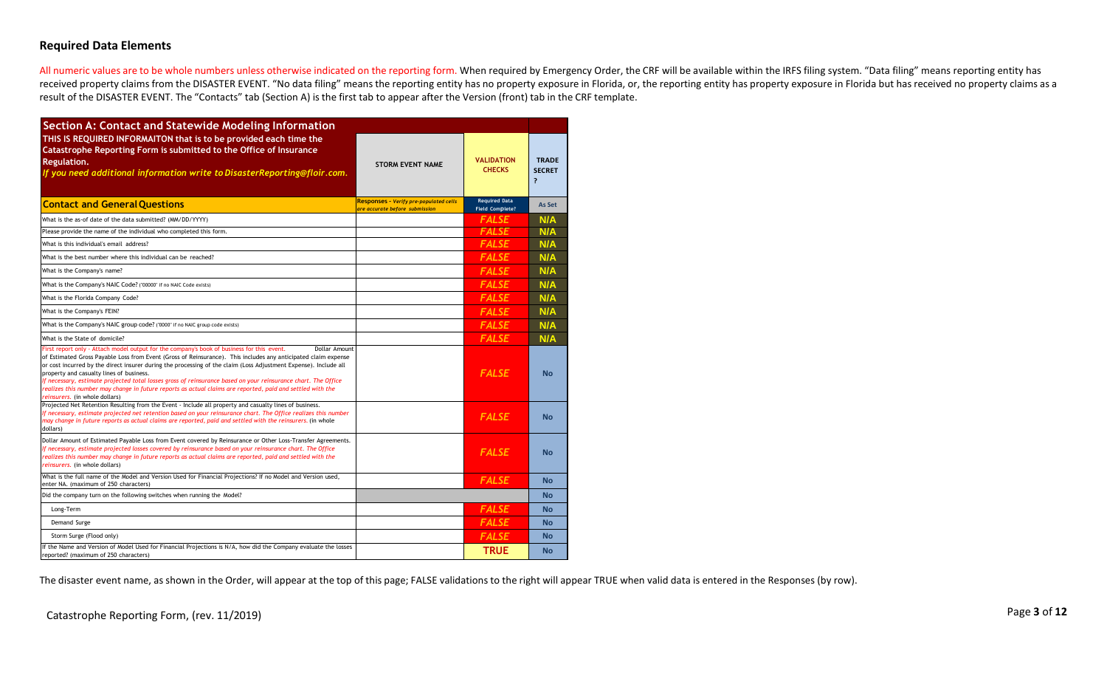### **Required Data Elements**

All numeric values are to be whole numbers unless otherwise indicated on the reporting form. When required by Emergency Order, the CRF will be available within the IRFS filing system. "Data filing" means reporting entity h received property claims from the DISASTER EVENT. "No data filing" means the reporting entity has no property exposure in Florida, or, the reporting entity has property exposure in Florida but has received no property clai result of the DISASTER EVENT. The "Contacts" tab (Section A) is the first tab to appear after the Version (front) tab in the CRF template.

| <b>Section A: Contact and Statewide Modeling Information</b>                                                                                                                                                                                                                                                                                                                                                                                                                                                                                                                                                                                                    |                                                                                 |                                                |                                               |
|-----------------------------------------------------------------------------------------------------------------------------------------------------------------------------------------------------------------------------------------------------------------------------------------------------------------------------------------------------------------------------------------------------------------------------------------------------------------------------------------------------------------------------------------------------------------------------------------------------------------------------------------------------------------|---------------------------------------------------------------------------------|------------------------------------------------|-----------------------------------------------|
| THIS IS REQUIRED INFORMAITON that is to be provided each time the<br>Catastrophe Reporting Form is submitted to the Office of Insurance<br>Regulation.<br>If you need additional information write to DisasterReporting@floir.com.                                                                                                                                                                                                                                                                                                                                                                                                                              | <b>STORM EVENT NAME</b>                                                         | <b>VALIDATION</b><br><b>CHECKS</b>             | <b>TRADE</b><br><b>SECRET</b><br><sup>2</sup> |
| <b>Contact and General Ouestions</b>                                                                                                                                                                                                                                                                                                                                                                                                                                                                                                                                                                                                                            | <b>Responses - Verify pre-populated cells</b><br>are accurate before submission | <b>Required Data</b><br><b>Field Complete?</b> | <b>As Set</b>                                 |
| What is the as-of date of the data submitted? (MM/DD/YYYY)                                                                                                                                                                                                                                                                                                                                                                                                                                                                                                                                                                                                      |                                                                                 | <b>FALSE</b>                                   | N/A                                           |
| Please provide the name of the individual who completed this form.                                                                                                                                                                                                                                                                                                                                                                                                                                                                                                                                                                                              |                                                                                 | <b>FALSE</b>                                   | N/A                                           |
| What is this individual's email address?                                                                                                                                                                                                                                                                                                                                                                                                                                                                                                                                                                                                                        |                                                                                 | <b>FALSE</b>                                   | N/A                                           |
| What is the best number where this individual can be reached?                                                                                                                                                                                                                                                                                                                                                                                                                                                                                                                                                                                                   |                                                                                 | <b>FALSE</b>                                   | N/A                                           |
| What is the Company's name?                                                                                                                                                                                                                                                                                                                                                                                                                                                                                                                                                                                                                                     |                                                                                 | <b>FALSE</b>                                   | N/A                                           |
| What is the Company's NAIC Code? ("00000" if no NAIC Code exists)                                                                                                                                                                                                                                                                                                                                                                                                                                                                                                                                                                                               |                                                                                 | <b>FALSE</b>                                   | N/A                                           |
| What is the Florida Company Code?                                                                                                                                                                                                                                                                                                                                                                                                                                                                                                                                                                                                                               |                                                                                 | <b>FALSE</b>                                   | N/A                                           |
| What is the Company's FEIN?                                                                                                                                                                                                                                                                                                                                                                                                                                                                                                                                                                                                                                     |                                                                                 | <b>FALSE</b>                                   | N/A                                           |
| What is the Company's NAIC group code? ("0000" if no NAIC group code exists)                                                                                                                                                                                                                                                                                                                                                                                                                                                                                                                                                                                    |                                                                                 | <b>FALSE</b>                                   | N/A                                           |
| What is the State of domicile?                                                                                                                                                                                                                                                                                                                                                                                                                                                                                                                                                                                                                                  |                                                                                 | <b>FALSE</b>                                   | N/A                                           |
| First report only - Attach model output for the company's book of business for this event.<br>Dollar Amount<br>of Estimated Gross Payable Loss from Event (Gross of Reinsurance). This includes any anticipated claim expense<br>or cost incurred by the direct insurer during the processing of the claim (Loss Adjustment Expense). Include all<br>property and casualty lines of business.<br>If necessary, estimate projected total losses gross of reinsurance based on your reinsurance chart. The Office<br>realizes this number may change in future reports as actual claims are reported, paid and settled with the<br>reinsurers. (in whole dollars) |                                                                                 | <b>FALSE</b>                                   | <b>No</b>                                     |
| Projected Net Retention Resulting from the Event - Include all property and casualty lines of business.<br>If necessary, estimate projected net retention based on your reinsurance chart. The Office realizes this number<br>may change in future reports as actual claims are reported, paid and settled with the reinsurers. (in whole<br>dollars)                                                                                                                                                                                                                                                                                                           |                                                                                 | <b>FALSE</b>                                   | <b>No</b>                                     |
| Dollar Amount of Estimated Payable Loss from Event covered by Reinsurance or Other Loss-Transfer Agreements.<br>If necessary, estimate projected losses covered by reinsurance based on your reinsurance chart. The Office<br>realizes this number may change in future reports as actual claims are reported, paid and settled with the<br>reinsurers. (in whole dollars)                                                                                                                                                                                                                                                                                      |                                                                                 | <b>FALSE</b>                                   | <b>No</b>                                     |
| What is the full name of the Model and Version Used for Financial Projections? If no Model and Version used,<br>enter NA. (maximum of 250 characters)                                                                                                                                                                                                                                                                                                                                                                                                                                                                                                           |                                                                                 | <b>FALSE</b>                                   | <b>No</b>                                     |
| Did the company turn on the following switches when running the Model?                                                                                                                                                                                                                                                                                                                                                                                                                                                                                                                                                                                          |                                                                                 |                                                | No                                            |
| Long-Term                                                                                                                                                                                                                                                                                                                                                                                                                                                                                                                                                                                                                                                       |                                                                                 | <b>FALSE</b>                                   | <b>No</b>                                     |
| Demand Surge                                                                                                                                                                                                                                                                                                                                                                                                                                                                                                                                                                                                                                                    |                                                                                 | <b>FALSE</b>                                   | <b>No</b>                                     |
| Storm Surge (Flood only)                                                                                                                                                                                                                                                                                                                                                                                                                                                                                                                                                                                                                                        |                                                                                 | <b>FALSE</b>                                   | <b>No</b>                                     |
| If the Name and Version of Model Used for Financial Projections is N/A, how did the Company evaluate the losses<br>reported? (maximum of 250 characters)                                                                                                                                                                                                                                                                                                                                                                                                                                                                                                        |                                                                                 | <b>TRUE</b>                                    | <b>No</b>                                     |

The disaster event name, as shown in the Order, will appear at the top of this page; FALSE validations to the right will appear TRUE when valid data is entered in the Responses (by row).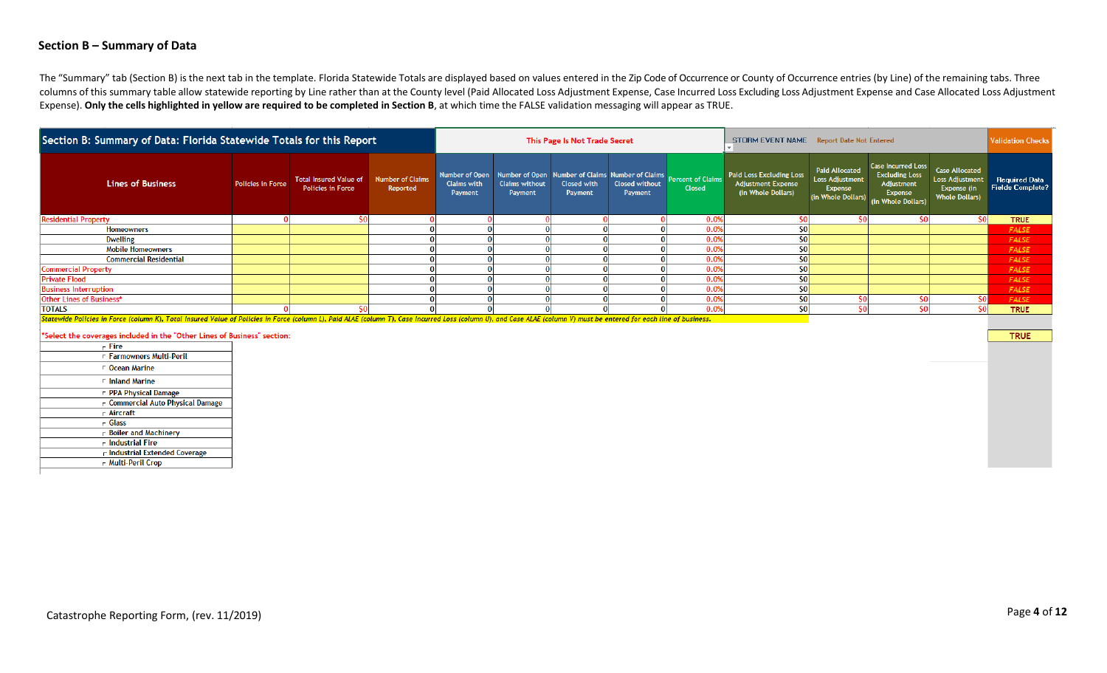### **Section B – Summary of Data**

The "Summary" tab (Section B) is the next tab in the template. Florida Statewide Totals are displayed based on values entered in the Zip Code of Occurrence or County of Occurrence entries (by Line) of the remaining tabs. T columns of this summary table allow statewide reporting by Line rather than at the County level (Paid Allocated Loss Adjustment Expense, Case Incurred Loss Excluding Loss Adjustment Expense and Case Allocated Loss Adjustme Expense). Only the cells highlighted in yellow are required to be completed in Section B, at which time the FALSE validation messaging will appear as TRUE.

| Section B: Summary of Data: Florida Statewide Totals for this Report                                                                                                                                                                                                                                                                                                                    |                          |                                                           | This Page Is Not Trade Secret       |                               |                                                                                                     | STORM EVENT NAME Report Date Not Entered | <b>Validation Checks</b>  |                                    |                                                                             |                                                                                  |                                                                                                   |                                                                           |                                                 |
|-----------------------------------------------------------------------------------------------------------------------------------------------------------------------------------------------------------------------------------------------------------------------------------------------------------------------------------------------------------------------------------------|--------------------------|-----------------------------------------------------------|-------------------------------------|-------------------------------|-----------------------------------------------------------------------------------------------------|------------------------------------------|---------------------------|------------------------------------|-----------------------------------------------------------------------------|----------------------------------------------------------------------------------|---------------------------------------------------------------------------------------------------|---------------------------------------------------------------------------|-------------------------------------------------|
| <b>Lines of Business</b>                                                                                                                                                                                                                                                                                                                                                                | <b>Policies in Force</b> | <b>Total Insured Value of</b><br><b>Policies in Force</b> | <b>Number of Claims</b><br>Reported | <b>Claims with</b><br>Payment | Number of Open Number of Open Number of Claims Number of Claims<br><b>Claims without</b><br>Payment | Closed with<br>Payment                   | Closed without<br>Payment | Percent of Claims<br><b>Closed</b> | Paid Loss Excluding Loss<br><b>Adjustment Expense</b><br>(in Whole Dollars) | <b>Paid Allocated</b><br><b>Loss Adjustment</b><br>Expense<br>(in Whole Dollars) | <b>Case Incurred Loss</b><br><b>Excluding Loss</b><br>Adjustment<br>Expense<br>(in Whole Dollars) | Case Allocated<br>Loss Adjustment<br>Expense (in<br><b>Whole Dollars)</b> | <b>Required Data</b><br><b>Fields Complete?</b> |
| <b>Residential Property</b>                                                                                                                                                                                                                                                                                                                                                             |                          |                                                           |                                     |                               |                                                                                                     |                                          |                           | 0.0%                               |                                                                             |                                                                                  |                                                                                                   |                                                                           | <b>TRUE</b>                                     |
| <b>Homeowners</b>                                                                                                                                                                                                                                                                                                                                                                       |                          |                                                           |                                     |                               |                                                                                                     |                                          |                           | 0.0%                               |                                                                             |                                                                                  |                                                                                                   |                                                                           | <b>FALSE</b>                                    |
| <b>Dwelling</b>                                                                                                                                                                                                                                                                                                                                                                         |                          |                                                           |                                     |                               |                                                                                                     |                                          |                           | 0.0%                               |                                                                             |                                                                                  |                                                                                                   |                                                                           | <b>FALSE</b>                                    |
| <b>Mobile Homeowners</b>                                                                                                                                                                                                                                                                                                                                                                |                          |                                                           |                                     |                               |                                                                                                     |                                          |                           | 0.0%                               |                                                                             |                                                                                  |                                                                                                   |                                                                           | <b>FALSE</b>                                    |
| <b>Commercial Residential</b>                                                                                                                                                                                                                                                                                                                                                           |                          |                                                           |                                     |                               |                                                                                                     |                                          |                           | 0.0%                               | \$0                                                                         |                                                                                  |                                                                                                   |                                                                           | <b>FALSE</b>                                    |
| <b>Commercial Property</b>                                                                                                                                                                                                                                                                                                                                                              |                          |                                                           |                                     |                               |                                                                                                     |                                          |                           | 0.0%                               | S <sub>0</sub>                                                              |                                                                                  |                                                                                                   |                                                                           | <b>FALSE</b>                                    |
| <b>Private Flood</b>                                                                                                                                                                                                                                                                                                                                                                    |                          |                                                           |                                     |                               |                                                                                                     |                                          |                           | 0.0%                               | sο                                                                          |                                                                                  |                                                                                                   |                                                                           | <b>FALSE</b>                                    |
| <b>Business Interruption</b>                                                                                                                                                                                                                                                                                                                                                            |                          |                                                           |                                     |                               |                                                                                                     |                                          |                           | 0.0%                               |                                                                             |                                                                                  |                                                                                                   |                                                                           | <b>FALSE</b>                                    |
| Other Lines of Business*                                                                                                                                                                                                                                                                                                                                                                |                          |                                                           |                                     |                               |                                                                                                     |                                          |                           | 0.0%                               |                                                                             |                                                                                  |                                                                                                   |                                                                           | <b>FALSE</b>                                    |
| <b>TOTALS</b>                                                                                                                                                                                                                                                                                                                                                                           |                          |                                                           |                                     |                               |                                                                                                     |                                          |                           | 0.0%                               |                                                                             |                                                                                  |                                                                                                   |                                                                           | <b>TRUE</b>                                     |
| $R_{i+1}, \ldots, R_{i+1}, \ldots, R_{i+1}, \ldots, R_{i+1}, \ldots, R_{i+1}, \ldots, R_{i+1}, \ldots, R_{i+1}, \ldots, R_{i+1}, \ldots, R_{i+1}, \ldots, R_{i+1}, \ldots, R_{i+1}, \ldots, R_{i+1}, \ldots, R_{i+1}, \ldots, R_{i+1}, \ldots, R_{i+1}, \ldots, R_{i+1}, \ldots, R_{i+1}, \ldots, R_{i+1}, \ldots, R_{i+1}, \ldots, R_{i+1}, \ldots, R_{i+1}, \ldots, R_{i+1}, \ldots,$ |                          |                                                           |                                     |                               |                                                                                                     |                                          |                           |                                    |                                                                             |                                                                                  |                                                                                                   |                                                                           |                                                 |

K), Total Insured Value of Policies in Force (column L), Paid ALAE (column mn II), and Case Al AF (colu nn T). Case Incurred Loss (coli.

\*Select the coverages included in the "Other Lines of Business" section:

| - Fire                                   |
|------------------------------------------|
| r Farmowners Multi-Peril                 |
| ⊏ Ocean Marine                           |
| $\Gamma$ Inland Marine                   |
| <b>PPA Physical Damage</b>               |
| $\Gamma$ Commercial Auto Physical Damage |
| – Aircraft                               |
| ← Glass                                  |
| $\Gamma$ Boiler and Machinery            |
| $\mathsf{\Gamma}$ Industrial Fire        |
| r Industrial Extended Coverage           |
| r Multi-Peril Crop                       |

**TRUE**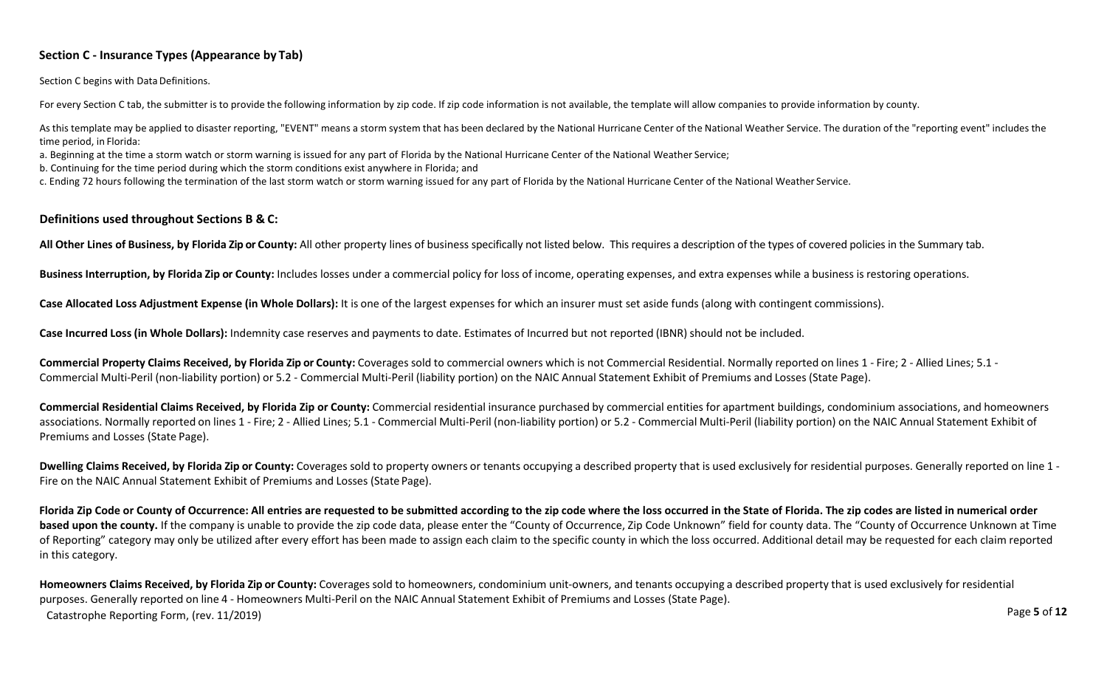### **Section C - Insurance Types (Appearance by Tab)**

Section C begins with Data Definitions.

For every Section C tab, the submitter is to provide the following information by zip code. If zip code information is not available, the template will allow companies to provide information by county.

As this template may be applied to disaster reporting, "EVENT" means a storm system that has been declared by the National Hurricane Center of the National Weather Service. The duration of the "reporting event" includes th time period, in Florida:

a. Beginning at the time a storm watch or storm warning is issued for any part of Florida by the National Hurricane Center of the National Weather Service;

b. Continuing for the time period during which the storm conditions exist anywhere in Florida; and

c. Ending 72 hours following the termination of the last storm watch or storm warning issued for any part of Florida by the National Hurricane Center of the National Weather Service.

### **Definitions used throughout Sections B & C:**

All Other Lines of Business, by Florida Zip or County: All other property lines of business specifically not listed below. This requires a description of the types of covered policies in the Summary tab.

Business Interruption, by Florida Zip or County: Includes losses under a commercial policy for loss of income, operating expenses, and extra expenses while a business is restoring operations.

Case Allocated Loss Adjustment Expense (in Whole Dollars): It is one of the largest expenses for which an insurer must set aside funds (along with contingent commissions).

**Case Incurred Loss (in Whole Dollars):** Indemnity case reserves and payments to date. Estimates of Incurred but not reported (IBNR) should not be included.

Commercial Property Claims Received, by Florida Zip or County: Coverages sold to commercial owners which is not Commercial Residential. Normally reported on lines 1 - Fire; 2 - Allied Lines; 5.1 -Commercial Multi-Peril (non-liability portion) or 5.2 - Commercial Multi-Peril (liability portion) on the NAIC Annual Statement Exhibit of Premiums and Losses (State Page).

Commercial Residential Claims Received, by Florida Zip or County: Commercial residential insurance purchased by commercial entities for apartment buildings, condominium associations, and homeowners associations. Normally reported on lines 1 - Fire; 2 - Allied Lines; 5.1 - Commercial Multi-Peril (non-liability portion) or 5.2 - Commercial Multi-Peril (liability portion) on the NAIC Annual Statement Exhibit of Premiums and Losses (State Page).

Dwelling Claims Received, by Florida Zip or County: Coverages sold to property owners or tenants occupying a described property that is used exclusively for residential purposes. Generally reported on line 1 -Fire on the NAIC Annual Statement Exhibit of Premiums and Losses (State Page).

Florida Zip Code or County of Occurrence: All entries are requested to be submitted according to the zip code where the loss occurred in the State of Florida. The zip codes are listed in numerical order based upon the county. If the company is unable to provide the zip code data, please enter the "County of Occurrence, Zip Code Unknown" field for county data. The "County of Occurrence Unknown at Time of Reporting" category may only be utilized after every effort has been made to assign each claim to the specific county in which the loss occurred. Additional detail may be requested for each claim reported in this category.

Page **5** of **12** Catastrophe Reporting Form, (rev. 11/2019) Homeowners Claims Received, by Florida Zip or County: Coverages sold to homeowners, condominium unit-owners, and tenants occupying a described property that is used exclusively for residential purposes. Generally reported on line 4 - Homeowners Multi-Peril on the NAIC Annual Statement Exhibit of Premiums and Losses (State Page).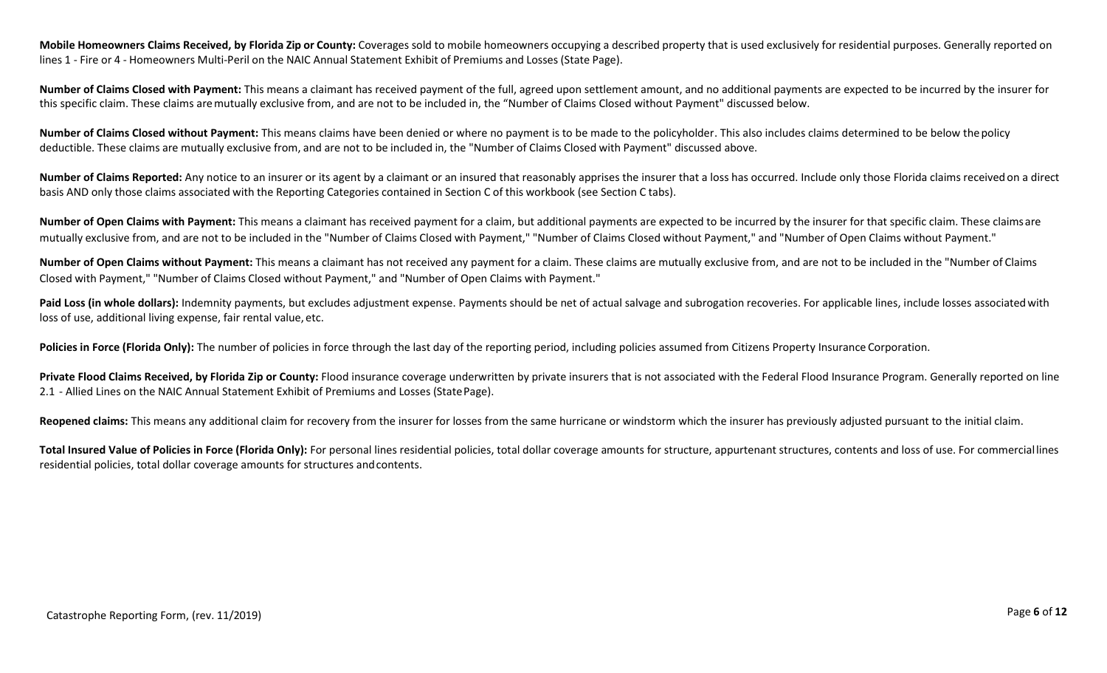Mobile Homeowners Claims Received, by Florida Zip or County: Coverages sold to mobile homeowners occupying a described property that is used exclusively for residential purposes. Generally reported on lines 1 - Fire or 4 - Homeowners Multi-Peril on the NAIC Annual Statement Exhibit of Premiums and Losses (State Page).

**Number of Claims Closed with Payment:** This means a claimant has received payment of the full, agreed upon settlement amount, and no additional payments are expected to be incurred by the insurer for this specific claim. These claims aremutually exclusive from, and are not to be included in, the "Number of Claims Closed without Payment" discussed below.

**Number of Claims Closed without Payment:** This means claims have been denied or where no payment is to be made to the policyholder. This also includes claims determined to be below thepolicy deductible. These claims are mutually exclusive from, and are not to be included in, the "Number of Claims Closed with Payment" discussed above.

**Number of Claims Reported:** Any notice to an insurer or its agent by a claimant or an insured that reasonably apprises the insurer that a loss has occurred. Include only those Florida claims receivedon a direct basis AND only those claims associated with the Reporting Categories contained in Section C of this workbook (see Section C tabs).

Number of Open Claims with Payment: This means a claimant has received payment for a claim, but additional payments are expected to be incurred by the insurer for that specific claim. These claims are mutually exclusive from, and are not to be included in the "Number of Claims Closed with Payment," "Number of Claims Closed without Payment," and "Number of Open Claims without Payment."

**Number of Open Claims without Payment:** This means a claimant has not received any payment for a claim. These claims are mutually exclusive from, and are not to be included in the "Number of Claims Closed with Payment," "Number of Claims Closed without Payment," and "Number of Open Claims with Payment."

Paid Loss (in whole dollars): Indemnity payments, but excludes adjustment expense. Payments should be net of actual salvage and subrogation recoveries. For applicable lines, include losses associated with loss of use, additional living expense, fair rental value, etc.

Policies in Force (Florida Only): The number of policies in force through the last day of the reporting period, including policies assumed from Citizens Property Insurance Corporation.

Private Flood Claims Received, by Florida Zip or County: Flood insurance coverage underwritten by private insurers that is not associated with the Federal Flood Insurance Program. Generally reported on line 2.1 - Allied Lines on the NAIC Annual Statement Exhibit of Premiums and Losses (StatePage).

Reopened claims: This means any additional claim for recovery from the insurer for losses from the same hurricane or windstorm which the insurer has previously adjusted pursuant to the initial claim.

**Total Insured Value of Policies in Force (Florida Only):** For personal lines residential policies, total dollar coverage amounts for structure, appurtenant structures, contents and loss of use. For commerciallines residential policies, total dollar coverage amounts for structures andcontents.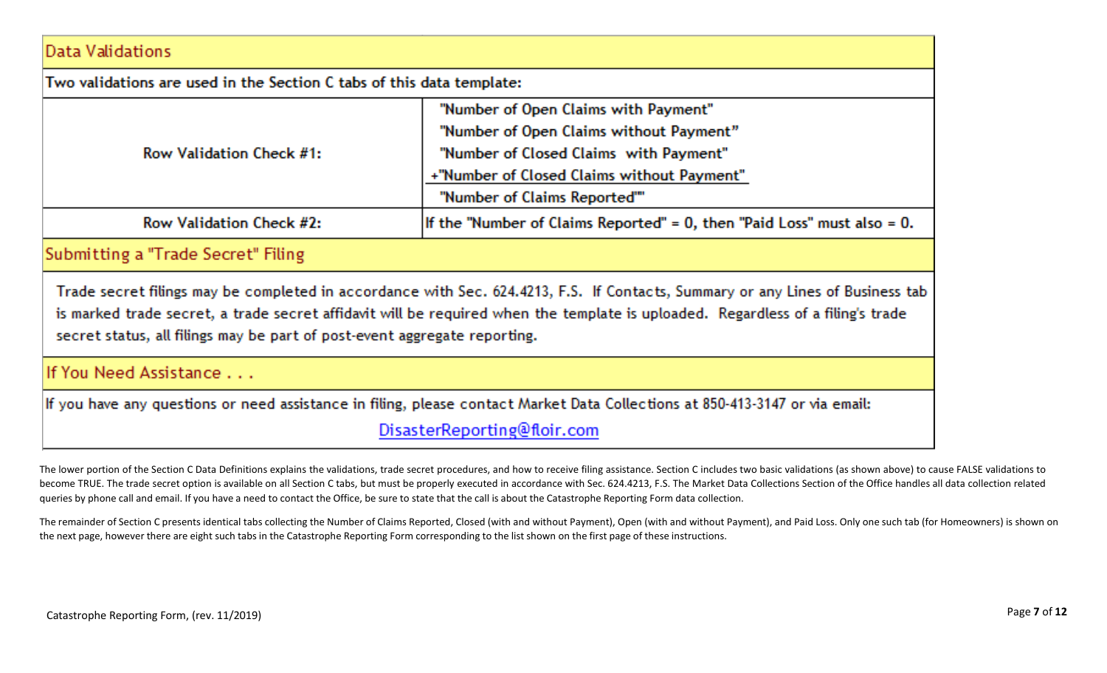## **Industry Matt along a district**

| Data valitiations.                                                                                                                                                                                                                                                                                                                             |                                                                                 |  |  |  |  |  |  |  |  |
|------------------------------------------------------------------------------------------------------------------------------------------------------------------------------------------------------------------------------------------------------------------------------------------------------------------------------------------------|---------------------------------------------------------------------------------|--|--|--|--|--|--|--|--|
| Two validations are used in the Section C tabs of this data template:                                                                                                                                                                                                                                                                          |                                                                                 |  |  |  |  |  |  |  |  |
|                                                                                                                                                                                                                                                                                                                                                | "Number of Open Claims with Payment"<br>"Number of Open Claims without Payment" |  |  |  |  |  |  |  |  |
| Row Validation Check #1:                                                                                                                                                                                                                                                                                                                       | "Number of Closed Claims with Payment"                                          |  |  |  |  |  |  |  |  |
|                                                                                                                                                                                                                                                                                                                                                | +"Number of Closed Claims without Payment"                                      |  |  |  |  |  |  |  |  |
|                                                                                                                                                                                                                                                                                                                                                | "Number of Claims Reported""                                                    |  |  |  |  |  |  |  |  |
| Row Validation Check #2:                                                                                                                                                                                                                                                                                                                       | If the "Number of Claims Reported" = $0$ , then "Paid Loss" must also = $0$ .   |  |  |  |  |  |  |  |  |
| Submitting a "Trade Secret" Filing                                                                                                                                                                                                                                                                                                             |                                                                                 |  |  |  |  |  |  |  |  |
| Trade secret filings may be completed in accordance with Sec. 624.4213, F.S. If Contacts, Summary or any Lines of Business tab<br>is marked trade secret, a trade secret affidavit will be required when the template is uploaded. Regardless of a filing's trade<br>secret status, all filings may be part of post-event aggregate reporting. |                                                                                 |  |  |  |  |  |  |  |  |

# If You Need Assistance . . .

If you have any questions or need assistance in filing, please contact Market Data Collections at 850-413-3147 or via email:

DisasterReporting@floir.com

The lower portion of the Section C Data Definitions explains the validations, trade secret procedures, and how to receive filing assistance. Section C includes two basic validations (as shown above) to cause FALSE validati become TRUE. The trade secret option is available on all Section C tabs, but must be properly executed in accordance with Sec. 624.4213, F.S. The Market Data Collections Section of the Office handles all data collection re queries by phone call and email. If you have a need to contact the Office, be sure to state that the call is about the Catastrophe Reporting Form data collection.

The remainder of Section C presents identical tabs collecting the Number of Claims Reported, Closed (with and without Payment), Open (with and without Payment), and Paid Loss. Only one such tab (for Homeowners) is shown on the next page, however there are eight such tabs in the Catastrophe Reporting Form corresponding to the list shown on the first page of these instructions.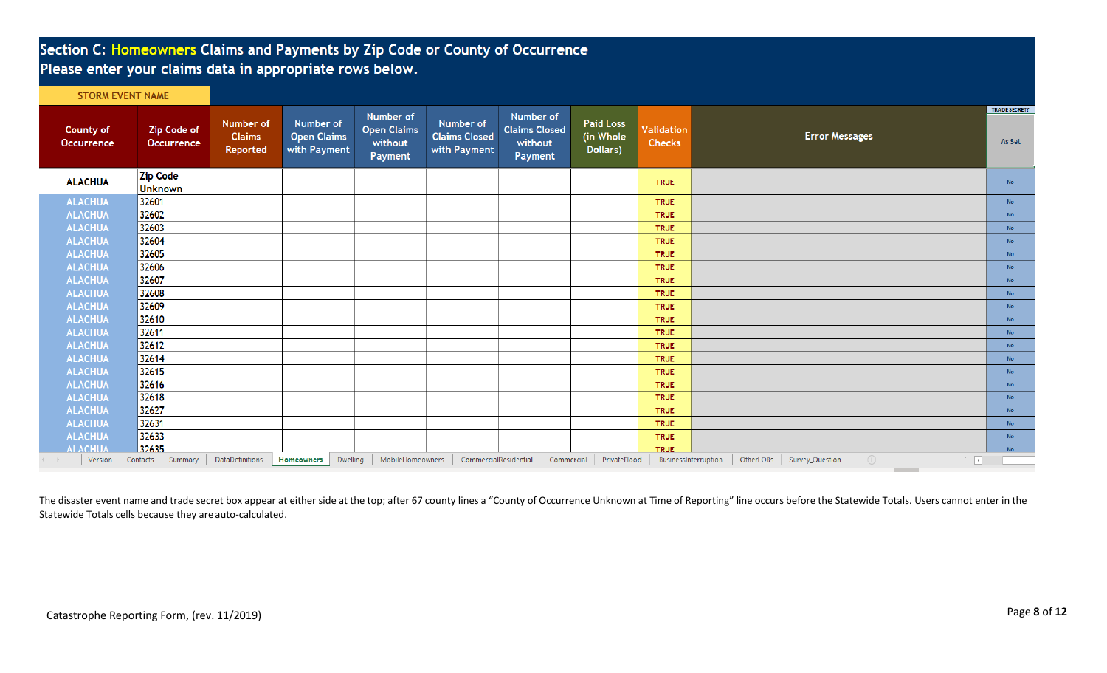# Section C: Homeowners Claims and Payments by Zip Code or County of Occurrence Please enter your claims data in appropriate rows below.

|  |  | <b>STORM EVENT NAME</b> |  |
|--|--|-------------------------|--|
|  |  |                         |  |

| <b>County of</b><br><b>Occurrence</b> | <b>Zip Code of</b><br><b>Occurrence</b> | Number of<br><b>Claims</b><br>Reported | Number of<br><b>Open Claims</b><br>with Payment | Number of<br><b>Open Claims</b><br>without<br>Payment | Number of<br><b>Claims Closed</b><br>with Payment | Number of<br><b>Claims Closed</b><br>without<br>Payment | <b>Paid Loss</b><br>(in Whole<br>Dollars) | Validation<br><b>Checks</b> | <b>Error Messages</b>                                                                        | <b>TRADE SECRET?</b><br>As Set |
|---------------------------------------|-----------------------------------------|----------------------------------------|-------------------------------------------------|-------------------------------------------------------|---------------------------------------------------|---------------------------------------------------------|-------------------------------------------|-----------------------------|----------------------------------------------------------------------------------------------|--------------------------------|
| <b>ALACHUA</b>                        | <b>Zip Code</b><br>Unknown              |                                        |                                                 |                                                       |                                                   |                                                         |                                           | <b>TRUE</b>                 |                                                                                              | <b>No</b>                      |
| <b>ALACHUA</b>                        | 32601                                   |                                        |                                                 |                                                       |                                                   |                                                         |                                           | <b>TRUE</b>                 |                                                                                              | <b>No</b>                      |
| <b>ALACHUA</b>                        | 32602                                   |                                        |                                                 |                                                       |                                                   |                                                         |                                           | <b>TRUE</b>                 |                                                                                              | <b>No</b>                      |
| <b>ALACHUA</b>                        | 32603                                   |                                        |                                                 |                                                       |                                                   |                                                         |                                           | <b>TRUE</b>                 |                                                                                              | <b>No</b>                      |
| <b>ALACHUA</b>                        | 32604                                   |                                        |                                                 |                                                       |                                                   |                                                         |                                           | <b>TRUE</b>                 |                                                                                              | <b>No</b>                      |
| <b>ALACHUA</b>                        | 32605                                   |                                        |                                                 |                                                       |                                                   |                                                         |                                           | <b>TRUE</b>                 |                                                                                              | <b>No</b>                      |
| <b>ALACHUA</b>                        | 32606                                   |                                        |                                                 |                                                       |                                                   |                                                         |                                           | <b>TRUE</b>                 |                                                                                              | <b>No</b>                      |
| <b>ALACHUA</b>                        | 32607                                   |                                        |                                                 |                                                       |                                                   |                                                         |                                           | <b>TRUE</b>                 |                                                                                              | <b>No</b>                      |
| <b>ALACHUA</b>                        | 32608                                   |                                        |                                                 |                                                       |                                                   |                                                         |                                           | <b>TRUE</b>                 |                                                                                              | <b>No</b>                      |
| <b>ALACHUA</b>                        | 32609                                   |                                        |                                                 |                                                       |                                                   |                                                         |                                           | <b>TRUE</b>                 |                                                                                              | <b>No</b>                      |
| <b>ALACHUA</b>                        | 32610                                   |                                        |                                                 |                                                       |                                                   |                                                         |                                           | <b>TRUE</b>                 |                                                                                              | <b>No</b>                      |
| <b>ALACHUA</b>                        | 32611                                   |                                        |                                                 |                                                       |                                                   |                                                         |                                           | <b>TRUE</b>                 |                                                                                              | No.                            |
| <b>ALACHUA</b>                        | 32612                                   |                                        |                                                 |                                                       |                                                   |                                                         |                                           | <b>TRUE</b>                 |                                                                                              | <b>No</b>                      |
| <b>ALACHUA</b>                        | 32614                                   |                                        |                                                 |                                                       |                                                   |                                                         |                                           | <b>TRUE</b>                 |                                                                                              | <b>No</b>                      |
| <b>ALACHUA</b>                        | 32615                                   |                                        |                                                 |                                                       |                                                   |                                                         |                                           | <b>TRUE</b>                 |                                                                                              | <b>No</b>                      |
| <b>ALACHUA</b>                        | 32616                                   |                                        |                                                 |                                                       |                                                   |                                                         |                                           | <b>TRUE</b>                 |                                                                                              | <b>No</b>                      |
| <b>ALACHUA</b>                        | 32618                                   |                                        |                                                 |                                                       |                                                   |                                                         |                                           | <b>TRUE</b>                 |                                                                                              | No.                            |
| <b>ALACHUA</b>                        | 32627                                   |                                        |                                                 |                                                       |                                                   |                                                         |                                           | <b>TRUE</b>                 |                                                                                              | <b>No</b>                      |
| <b>ALACHUA</b>                        | 32631                                   |                                        |                                                 |                                                       |                                                   |                                                         |                                           | <b>TRUE</b>                 |                                                                                              | <b>No</b>                      |
| <b>ALACHUA</b>                        | 32633                                   |                                        |                                                 |                                                       |                                                   |                                                         |                                           | <b>TRUE</b>                 |                                                                                              | <b>No</b>                      |
| <b>ALACHUA</b>                        | 32635                                   |                                        |                                                 |                                                       |                                                   |                                                         |                                           | <b>TRUE</b>                 |                                                                                              | <b>No</b>                      |
| Version<br>$($ $ $ $ $ $ $ $ $        | Contacts  <br>Summary                   | DataDefinitions                        | Dwelling<br><b>Homeowners</b>                   | MobileHomeowners                                      | CommercialResidential                             |                                                         | Commercial PrivateFlood                   | BusinessInterruption        | $\bigoplus$<br>OtherLOBs Survey_Question<br>$\mathbb{E}[\mathbb{E}[\mathbb{E}^{\mathbb{E}}]$ |                                |

The disaster event name and trade secret box appear at either side at the top; after 67 county lines a "County of Occurrence Unknown at Time of Reporting" line occurs before the Statewide Totals. Users cannot enter in the Statewide Totals cells because they are auto-calculated.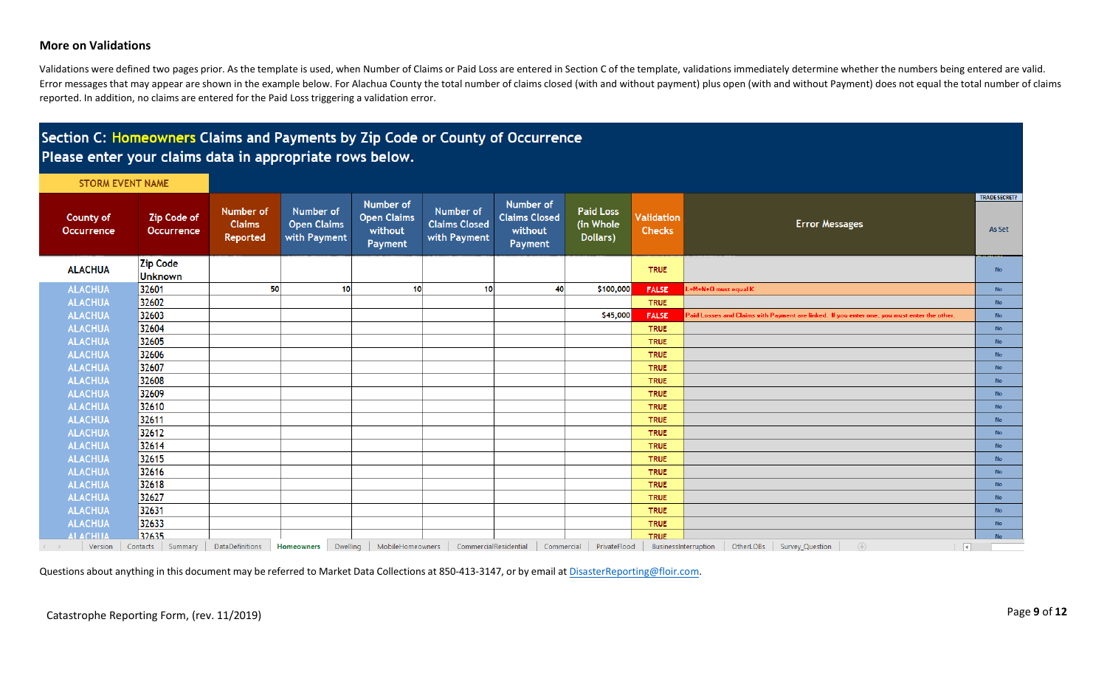### **More on Validations**

Validations were defined two pages prior. As the template is used, when Number of Claims or Paid Loss are entered in Section C of the template, validations immediately determine whether the numbers being entered are valid. Error messages that may appear are shown in the example below. For Alachua County the total number of claims closed (with and without payment) plus open (with and without Payment) does not equal the total number of claims reported. In addition, no claims are entered for the Paid Loss triggering a validation error.

## Section C: Homeowners Claims and Payments by Zip Code or County of Occurrence Please enter your claims data in appropriate rows below.

**STORM EVENT NAME** 

| <b>County of</b><br><b>Occurrence</b> | <b>Zip Code of</b><br><b>Occurrence</b> | Number of<br><b>Claims</b><br>Reported | <b>Number of</b><br><b>Open Claims</b><br>with Payment | Number of<br><b>Open Claims</b><br>without<br>Payment | Number of<br><b>Claims Closed</b><br>with Payment | Number of<br><b>Claims Closed</b><br>without<br>Payment | <b>Paid Loss</b><br>(in Whole<br>Dollars) | Validation<br><b>Checks</b> | <b>Error Messages</b>                                                                                                                                          | <b>TRADE SECRET?</b><br>As Set |
|---------------------------------------|-----------------------------------------|----------------------------------------|--------------------------------------------------------|-------------------------------------------------------|---------------------------------------------------|---------------------------------------------------------|-------------------------------------------|-----------------------------|----------------------------------------------------------------------------------------------------------------------------------------------------------------|--------------------------------|
| <b>ALACHUA</b>                        | <b>Zip Code</b><br>Unknown              |                                        |                                                        |                                                       |                                                   |                                                         |                                           | <b>TRUE</b>                 |                                                                                                                                                                | <b>No</b>                      |
| <b>ALACHUA</b>                        | 32601                                   | 50                                     |                                                        | 10 <sup>1</sup><br>10                                 | 10                                                |                                                         | 40<br>\$100,000                           | <b>FALSE</b>                | +M+N+O must equal K                                                                                                                                            | No.                            |
| <b>ALACHUA</b>                        | 32602                                   |                                        |                                                        |                                                       |                                                   |                                                         |                                           | <b>TRUE</b>                 |                                                                                                                                                                | <b>No</b>                      |
| <b>ALACHUA</b>                        | 32603                                   |                                        |                                                        |                                                       |                                                   |                                                         | \$45,000                                  | <b>FALSE</b>                | Paid Losses and Claims with Payment are linked. If you enter one, you must enter the other.                                                                    | No.                            |
| <b>ALACHUA</b>                        | 32604                                   |                                        |                                                        |                                                       |                                                   |                                                         |                                           | <b>TRUE</b>                 |                                                                                                                                                                | <b>No</b>                      |
| <b>ALACHUA</b>                        | 32605                                   |                                        |                                                        |                                                       |                                                   |                                                         |                                           | <b>TRUE</b>                 |                                                                                                                                                                | <b>No</b>                      |
| <b>ALACHUA</b>                        | 32606                                   |                                        |                                                        |                                                       |                                                   |                                                         |                                           | <b>TRUE</b>                 |                                                                                                                                                                | No.                            |
| <b>ALACHUA</b>                        | 32607                                   |                                        |                                                        |                                                       |                                                   |                                                         |                                           | <b>TRUE</b>                 |                                                                                                                                                                | <b>No</b>                      |
| <b>ALACHUA</b>                        | 32608                                   |                                        |                                                        |                                                       |                                                   |                                                         |                                           | <b>TRUE</b>                 |                                                                                                                                                                | <b>No</b>                      |
| <b>ALACHUA</b>                        | 32609                                   |                                        |                                                        |                                                       |                                                   |                                                         |                                           | <b>TRUE</b>                 |                                                                                                                                                                | <b>No</b>                      |
| <b>ALACHUA</b>                        | 32610                                   |                                        |                                                        |                                                       |                                                   |                                                         |                                           | <b>TRUE</b>                 |                                                                                                                                                                | <b>No</b>                      |
| <b>ALACHUA</b>                        | 32611                                   |                                        |                                                        |                                                       |                                                   |                                                         |                                           | <b>TRUE</b>                 |                                                                                                                                                                | No.                            |
| <b>ALACHUA</b>                        | 32612                                   |                                        |                                                        |                                                       |                                                   |                                                         |                                           | <b>TRUE</b>                 |                                                                                                                                                                | <b>No</b>                      |
| <b>ALACHUA</b>                        | 32614                                   |                                        |                                                        |                                                       |                                                   |                                                         |                                           | <b>TRUE</b>                 |                                                                                                                                                                | <b>No</b>                      |
| <b>ALACHUA</b>                        | 32615                                   |                                        |                                                        |                                                       |                                                   |                                                         |                                           | <b>TRUE</b>                 |                                                                                                                                                                | No.                            |
| <b>ALACHUA</b>                        | 32616                                   |                                        |                                                        |                                                       |                                                   |                                                         |                                           | <b>TRUE</b>                 |                                                                                                                                                                | <b>No</b>                      |
| <b>ALACHUA</b>                        | 32618                                   |                                        |                                                        |                                                       |                                                   |                                                         |                                           | <b>TRUE</b>                 |                                                                                                                                                                | <b>No</b>                      |
| <b>ALACHUA</b>                        | 32627                                   |                                        |                                                        |                                                       |                                                   |                                                         |                                           | <b>TRUE</b>                 |                                                                                                                                                                | No.                            |
| <b>ALACHUA</b>                        | 32631                                   |                                        |                                                        |                                                       |                                                   |                                                         |                                           | <b>TRUE</b>                 |                                                                                                                                                                | No.                            |
| <b>ALACHUA</b>                        | 32633                                   |                                        |                                                        |                                                       |                                                   |                                                         |                                           | <b>TRUE</b>                 |                                                                                                                                                                | <b>No</b>                      |
| <b>ALACHUA</b>                        | 32635                                   |                                        |                                                        |                                                       |                                                   |                                                         |                                           | <b>TRUE</b>                 |                                                                                                                                                                | No.                            |
| Version                               | Contacts<br>Summary                     | <b>DataDefinitions</b>                 | <b>Homeowners</b>                                      | MobileHomeowners<br>Dwelling                          | CommercialResidential                             |                                                         | Commercial PrivateFlood                   |                             | $\circled$<br>OtherLOBs   Survey_Question<br>$\mathbb{E} \left[ \begin{array}{c c} \hline \mathbf{H} & \mathbf{H} \end{array} \right]$<br>BusinessInterruption |                                |

Questions about anything in this document may be referred to Market Data Collections at 850-413-3147, or by email at [DisasterReporting@floir.com.](mailto:DisasterReporting@floir.com)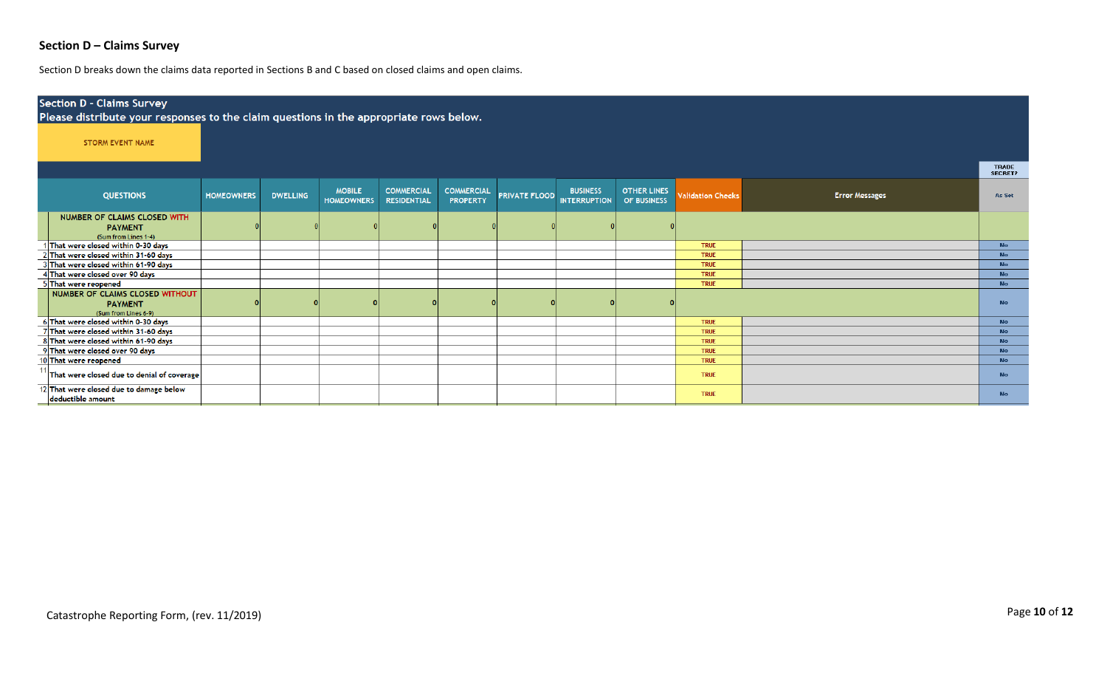## **Section D – Claims Survey**

Section D breaks down the claims data reported in Sections B and C based on closed claims and open claims.

| <b>Section D - Claims Survey</b><br>Please distribute your responses to the claim questions in the appropriate rows below. |                   |                 |                                    |                                         |                                      |                      |                                        |                                   |                          |                       |                                |  |  |  |
|----------------------------------------------------------------------------------------------------------------------------|-------------------|-----------------|------------------------------------|-----------------------------------------|--------------------------------------|----------------------|----------------------------------------|-----------------------------------|--------------------------|-----------------------|--------------------------------|--|--|--|
| <b>STORM EVENT NAME</b>                                                                                                    |                   |                 |                                    |                                         |                                      |                      |                                        |                                   |                          |                       |                                |  |  |  |
|                                                                                                                            |                   |                 |                                    |                                         |                                      |                      |                                        |                                   |                          |                       | <b>TRADE</b><br><b>SECRET?</b> |  |  |  |
| <b>QUESTIONS</b>                                                                                                           | <b>HOMEOWNERS</b> | <b>DWELLING</b> | <b>MOBILE</b><br><b>HOMEOWNERS</b> | <b>COMMERCIAL</b><br><b>RESIDENTIAL</b> | <b>COMMERCIAL</b><br><b>PROPERTY</b> | <b>PRIVATE FLOOD</b> | <b>BUSINESS</b><br><b>INTERRUPTION</b> | <b>OTHER LINES</b><br>OF BUSINESS | <b>Validation Checks</b> | <b>Error Messages</b> | As Set                         |  |  |  |
| NUMBER OF CLAIMS CLOSED WITH<br><b>PAYMENT</b><br>(Sum from Lines 1-4)                                                     |                   |                 |                                    |                                         |                                      |                      |                                        |                                   |                          |                       |                                |  |  |  |
| That were closed within 0-30 days                                                                                          |                   |                 |                                    |                                         |                                      |                      |                                        |                                   | <b>TRUE</b>              |                       | No.                            |  |  |  |
| 2 That were closed within 31-60 days                                                                                       |                   |                 |                                    |                                         |                                      |                      |                                        |                                   | <b>TRUE</b>              |                       | <b>No</b>                      |  |  |  |
| That were closed within 61-90 days                                                                                         |                   |                 |                                    |                                         |                                      |                      |                                        |                                   | <b>TRUE</b>              |                       | No.                            |  |  |  |
| 4 That were closed over 90 days                                                                                            |                   |                 |                                    |                                         |                                      |                      |                                        |                                   | <b>TRUE</b>              |                       | No.                            |  |  |  |
| 5 That were reopened                                                                                                       |                   |                 |                                    |                                         |                                      |                      |                                        |                                   | <b>TRUE</b>              |                       | <b>No</b>                      |  |  |  |
| NUMBER OF CLAIMS CLOSED WITHOUT<br><b>PAYMENT</b><br>(Sum from Lines 6-9)                                                  |                   |                 |                                    |                                         |                                      |                      |                                        |                                   |                          |                       | No.                            |  |  |  |
| 6 That were closed within 0-30 days                                                                                        |                   |                 |                                    |                                         |                                      |                      |                                        |                                   | <b>TRUE</b>              |                       | <b>No</b>                      |  |  |  |
| 7 That were closed within 31-60 days                                                                                       |                   |                 |                                    |                                         |                                      |                      |                                        |                                   | <b>TRUE</b>              |                       | No                             |  |  |  |
| 8 That were closed within 61-90 days                                                                                       |                   |                 |                                    |                                         |                                      |                      |                                        |                                   | <b>TRUE</b>              |                       | No.                            |  |  |  |
| 9 That were closed over 90 days                                                                                            |                   |                 |                                    |                                         |                                      |                      |                                        |                                   | <b>TRUE</b>              |                       | No.                            |  |  |  |
| 10 That were reopened                                                                                                      |                   |                 |                                    |                                         |                                      |                      |                                        |                                   | <b>TRUE</b>              |                       | No.                            |  |  |  |
| That were closed due to denial of coverage                                                                                 |                   |                 |                                    |                                         |                                      |                      |                                        |                                   | <b>TRUE</b>              |                       | No.                            |  |  |  |
| 12 That were closed due to damage below<br>deductible amount                                                               |                   |                 |                                    |                                         |                                      |                      |                                        |                                   | <b>TRUE</b>              |                       | <b>No</b>                      |  |  |  |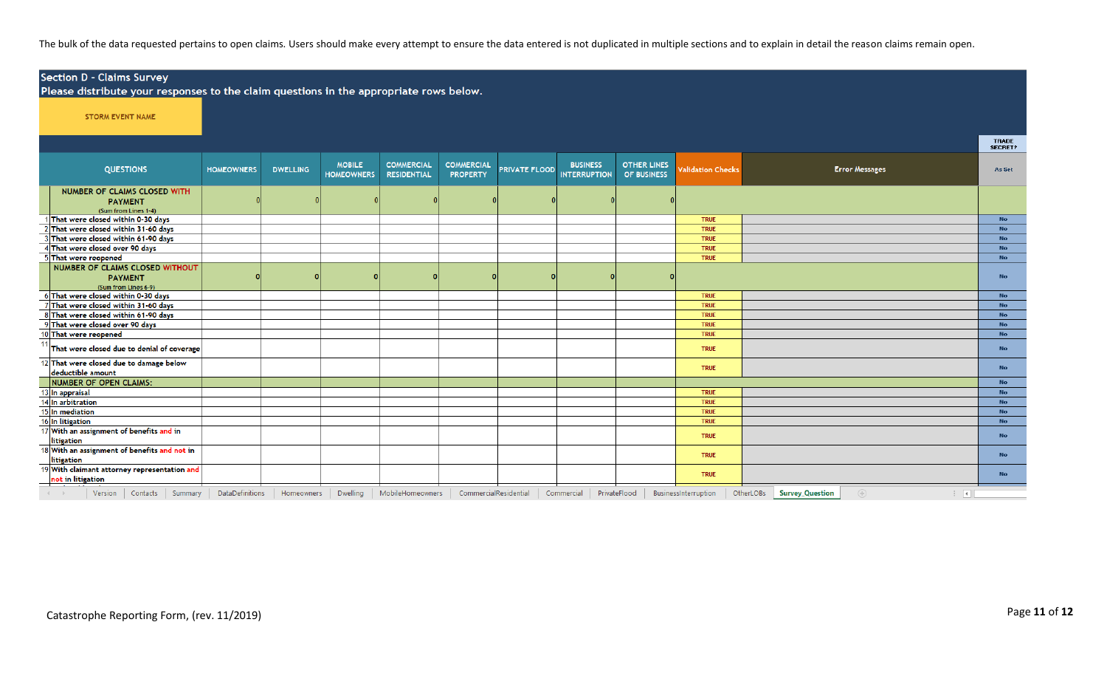The bulk of the data requested pertains to open claims. Users should make every attempt to ensure the data entered is not duplicated in multiple sections and to explain in detail the reason claims remain open.

|           | <b>Section D - Claims Survey</b><br>Please distribute your responses to the claim questions in the appropriate rows below. |                        |                 |                                    |                                         |                                      |                      |                                        |                                   |                          |                                                                |                         |  |  |  |
|-----------|----------------------------------------------------------------------------------------------------------------------------|------------------------|-----------------|------------------------------------|-----------------------------------------|--------------------------------------|----------------------|----------------------------------------|-----------------------------------|--------------------------|----------------------------------------------------------------|-------------------------|--|--|--|
|           | <b>STORM EVENT NAME</b>                                                                                                    |                        |                 |                                    |                                         |                                      |                      |                                        |                                   |                          |                                                                |                         |  |  |  |
|           |                                                                                                                            |                        |                 |                                    |                                         |                                      |                      |                                        |                                   |                          |                                                                | <b>TRADE</b><br>SECRET? |  |  |  |
|           | <b>QUESTIONS</b>                                                                                                           | <b>HOMEOWNERS</b>      | <b>DWELLING</b> | <b>MOBILE</b><br><b>HOMEOWNERS</b> | <b>COMMERCIAL</b><br><b>RESIDENTIAL</b> | <b>COMMERCIAL</b><br><b>PROPERTY</b> | <b>PRIVATE FLOOD</b> | <b>BUSINESS</b><br><b>INTERRUPTION</b> | <b>OTHER LINES</b><br>OF BUSINESS | <b>Validation Checks</b> | <b>Error Messages</b>                                          | As Set                  |  |  |  |
|           | <b>NUMBER OF CLAIMS CLOSED WITH</b><br><b>PAYMENT</b><br>(Sum from Lines 1-4)                                              |                        |                 |                                    |                                         |                                      |                      |                                        |                                   |                          |                                                                |                         |  |  |  |
|           | 1 That were closed within 0-30 days                                                                                        |                        |                 |                                    |                                         |                                      |                      |                                        |                                   | <b>TRUE</b>              |                                                                | <b>No</b>               |  |  |  |
|           | 2 That were closed within 31-60 days                                                                                       |                        |                 |                                    |                                         |                                      |                      |                                        |                                   | <b>TRUE</b>              |                                                                | <b>No</b>               |  |  |  |
|           | 3 That were closed within 61-90 days                                                                                       |                        |                 |                                    |                                         |                                      |                      |                                        |                                   | <b>TRUE</b>              |                                                                | <b>No</b>               |  |  |  |
|           | 4 That were closed over 90 days                                                                                            |                        |                 |                                    |                                         |                                      |                      |                                        |                                   | <b>TRUE</b>              |                                                                | <b>No</b>               |  |  |  |
|           | 5 That were reopened                                                                                                       |                        |                 |                                    |                                         |                                      |                      |                                        |                                   | <b>TRUE</b>              |                                                                | <b>No</b>               |  |  |  |
|           | NUMBER OF CLAIMS CLOSED WITHOUT<br><b>PAYMENT</b><br>(Sum from Lines 6-9)                                                  |                        |                 |                                    |                                         |                                      |                      |                                        |                                   |                          |                                                                | No                      |  |  |  |
|           | 6 That were closed within 0-30 days                                                                                        |                        |                 |                                    |                                         |                                      |                      |                                        |                                   | <b>TRUE</b>              |                                                                | <b>No</b>               |  |  |  |
|           | 7 That were closed within 31-60 days                                                                                       |                        |                 |                                    |                                         |                                      |                      |                                        |                                   | <b>TRUE</b>              |                                                                | <b>No</b>               |  |  |  |
|           | 8 That were closed within 61-90 days                                                                                       |                        |                 |                                    |                                         |                                      |                      |                                        |                                   | <b>TRUE</b>              |                                                                | <b>No</b>               |  |  |  |
|           | 9 That were closed over 90 days                                                                                            |                        |                 |                                    |                                         |                                      |                      |                                        |                                   | <b>TRUE</b>              |                                                                | <b>No</b>               |  |  |  |
|           | 10 That were reopened                                                                                                      |                        |                 |                                    |                                         |                                      |                      |                                        |                                   | <b>TRUE</b>              |                                                                | <b>No</b>               |  |  |  |
|           | That were closed due to denial of coverage                                                                                 |                        |                 |                                    |                                         |                                      |                      |                                        |                                   | <b>TRUE</b>              |                                                                | <b>No</b>               |  |  |  |
|           | 12 That were closed due to damage below<br>deductible amount                                                               |                        |                 |                                    |                                         |                                      |                      |                                        |                                   | <b>TRUE</b>              |                                                                | <b>No</b>               |  |  |  |
|           | NUMBER OF OPEN CLAIMS:                                                                                                     |                        |                 |                                    |                                         |                                      |                      |                                        |                                   |                          |                                                                | No                      |  |  |  |
|           | 13 In appraisal                                                                                                            |                        |                 |                                    |                                         |                                      |                      |                                        |                                   | <b>TRUE</b>              |                                                                | <b>No</b>               |  |  |  |
|           | 14 In arbitration                                                                                                          |                        |                 |                                    |                                         |                                      |                      |                                        |                                   | <b>TRUE</b>              |                                                                | <b>No</b>               |  |  |  |
|           | 15 In mediation                                                                                                            |                        |                 |                                    |                                         |                                      |                      |                                        |                                   | <b>TRUE</b>              |                                                                | <b>No</b>               |  |  |  |
|           | 16 In litigation                                                                                                           |                        |                 |                                    |                                         |                                      |                      |                                        |                                   | <b>TRUE</b>              |                                                                | <b>No</b>               |  |  |  |
|           | 17 With an assignment of benefits and in<br>litigation                                                                     |                        |                 |                                    |                                         |                                      |                      |                                        |                                   | <b>TRUE</b>              |                                                                | <b>No</b>               |  |  |  |
|           | 18 With an assignment of benefits and not in<br>litigation                                                                 |                        |                 |                                    |                                         |                                      |                      |                                        |                                   | <b>TRUE</b>              |                                                                | <b>No</b>               |  |  |  |
|           | 19 With claimant attorney representation and<br>not in litigation                                                          |                        |                 |                                    |                                         |                                      |                      |                                        |                                   | <b>TRUE</b>              |                                                                | <b>No</b>               |  |  |  |
| $-4$ $-1$ | Contacts<br>Summary<br>Version                                                                                             | <b>DataDefinitions</b> | Homeowners      | <b>Dwelling</b>                    | MobileHomeowners                        | CommercialResidential                |                      | Commercial                             | PrivateFlood                      | BusinessInterruption     | OtherLOBs<br><b>Survey_Question</b><br>$(+)$<br>$\overline{A}$ |                         |  |  |  |